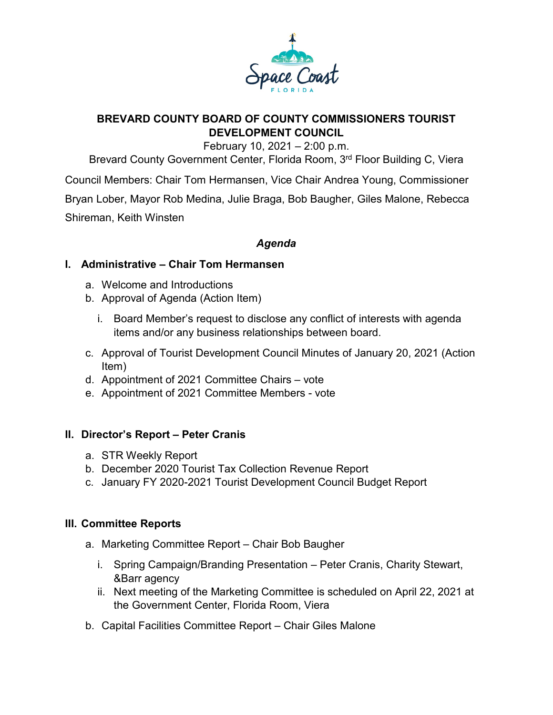

# **BREVARD COUNTY BOARD OF COUNTY COMMISSIONERS TOURIST DEVELOPMENT COUNCIL**

February 10, 2021 – 2:00 p.m.

Brevard County Government Center, Florida Room, 3<sup>rd</sup> Floor Building C, Viera

Council Members: Chair Tom Hermansen, Vice Chair Andrea Young, Commissioner Bryan Lober, Mayor Rob Medina, Julie Braga, Bob Baugher, Giles Malone, Rebecca Shireman, Keith Winsten

## *Agenda*

### **I. Administrative – Chair Tom Hermansen**

- a. Welcome and Introductions
- b. Approval of Agenda (Action Item)
	- i. Board Member's request to disclose any conflict of interests with agenda items and/or any business relationships between board.
- c. Approval of Tourist Development Council Minutes of January 20, 2021 (Action Item)
- d. Appointment of 2021 Committee Chairs vote
- e. Appointment of 2021 Committee Members vote

#### **II. Director's Report – Peter Cranis**

- a. STR Weekly Report
- b. December 2020 Tourist Tax Collection Revenue Report
- c. January FY 2020-2021 Tourist Development Council Budget Report

#### **III. Committee Reports**

- a. Marketing Committee Report Chair Bob Baugher
	- i. Spring Campaign/Branding Presentation Peter Cranis, Charity Stewart, &Barr agency
	- ii. Next meeting of the Marketing Committee is scheduled on April 22, 2021 at the Government Center, Florida Room, Viera
- b. Capital Facilities Committee Report Chair Giles Malone